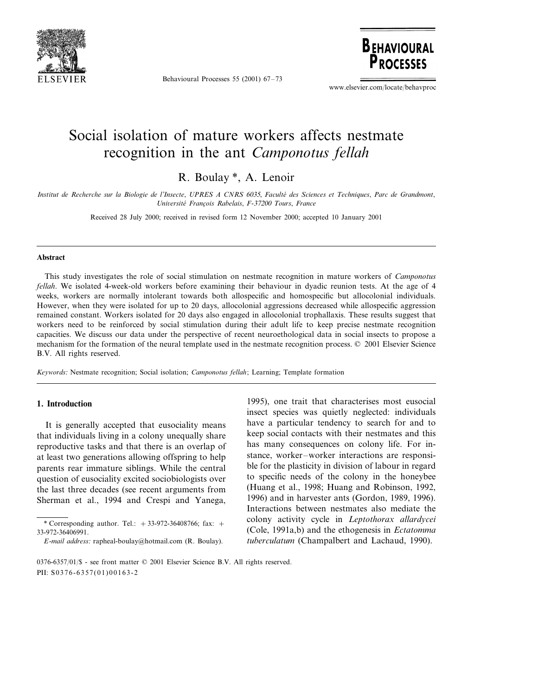

Behavioural Processes 55 (2001) 67–73

**BEHAVIOURAL P***DOCESSES* 

www.elsevier.com/locate/behavproc

# Social isolation of mature workers affects nestmate recognition in the ant *Camponotus fellah*

R. Boulay \*, A. Lenoir

*Institut de Recherche sur la Biologie de l*'*Insecte*, *UPRES A CNRS* 6035, *Faculte´ des Sciences et Techniques*, *Parc de Grandmont*, *Uniersite´ Franc¸ois Rabelais*, *F*-<sup>37200</sup> *Tours*, *France*

Received 28 July 2000; received in revised form 12 November 2000; accepted 10 January 2001

#### **Abstract**

This study investigates the role of social stimulation on nestmate recognition in mature workers of *Camponotus fellah*. We isolated 4-week-old workers before examining their behaviour in dyadic reunion tests. At the age of 4 weeks, workers are normally intolerant towards both allospecific and homospecific but allocolonial individuals. However, when they were isolated for up to 20 days, allocolonial aggressions decreased while allospecific aggression remained constant. Workers isolated for 20 days also engaged in allocolonial trophallaxis. These results suggest that workers need to be reinforced by social stimulation during their adult life to keep precise nestmate recognition capacities. We discuss our data under the perspective of recent neuroethological data in social insects to propose a mechanism for the formation of the neural template used in the nestmate recognition process. © 2001 Elsevier Science B.V. All rights reserved.

*Keywords*: Nestmate recognition; Social isolation; *Camponotus fellah*; Learning; Template formation

### **1. Introduction**

It is generally accepted that eusociality means that individuals living in a colony unequally share reproductive tasks and that there is an overlap of at least two generations allowing offspring to help parents rear immature siblings. While the central question of eusociality excited sociobiologists over the last three decades (see recent arguments from Sherman et al., 1994 and Crespi and Yanega,

1995), one trait that characterises most eusocial insect species was quietly neglected: individuals have a particular tendency to search for and to keep social contacts with their nestmates and this has many consequences on colony life. For instance, worker–worker interactions are responsible for the plasticity in division of labour in regard to specific needs of the colony in the honeybee (Huang et al., 1998; Huang and Robinson, 1992, 1996) and in harvester ants (Gordon, 1989, 1996). Interactions between nestmates also mediate the colony activity cycle in *Leptothorax allardycei* (Cole, 1991a,b) and the ethogenesis in *Ectatomma tuberculatum* (Champalbert and Lachaud, 1990).

<sup>\*</sup> Corresponding author. Tel.:  $+33-972-36408766$ ; fax:  $+$ 33-972-36406991.

*E*-*mail address*: rapheal-boulay@hotmail.com (R. Boulay).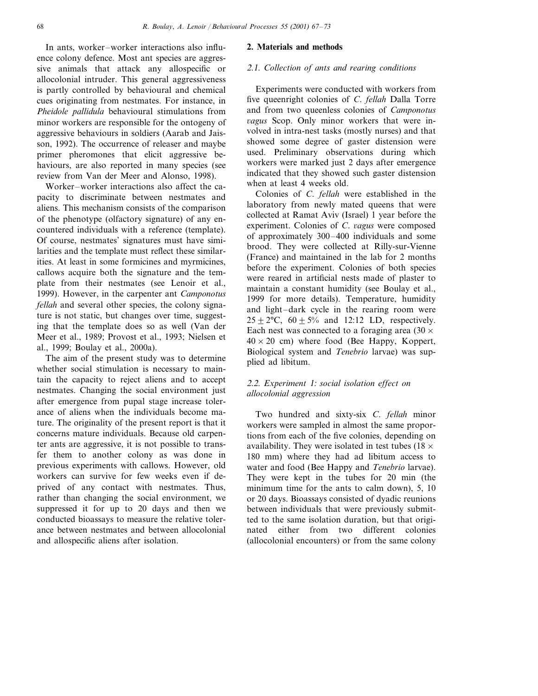In ants, worker–worker interactions also influence colony defence. Most ant species are aggressive animals that attack any allospecific or allocolonial intruder. This general aggressiveness is partly controlled by behavioural and chemical cues originating from nestmates. For instance, in *Pheidole pallidula* behavioural stimulations from minor workers are responsible for the ontogeny of aggressive behaviours in soldiers (Aarab and Jaisson, 1992). The occurrence of releaser and maybe primer pheromones that elicit aggressive behaviours, are also reported in many species (see review from Van der Meer and Alonso, 1998).

Worker–worker interactions also affect the capacity to discriminate between nestmates and aliens. This mechanism consists of the comparison of the phenotype (olfactory signature) of any encountered individuals with a reference (template). Of course, nestmates' signatures must have similarities and the template must reflect these similarities. At least in some formicines and myrmicines, callows acquire both the signature and the template from their nestmates (see Lenoir et al., 1999). However, in the carpenter ant *Camponotus fellah* and several other species, the colony signature is not static, but changes over time, suggesting that the template does so as well (Van der Meer et al., 1989; Provost et al., 1993; Nielsen et al., 1999; Boulay et al., 2000a).

The aim of the present study was to determine whether social stimulation is necessary to maintain the capacity to reject aliens and to accept nestmates. Changing the social environment just after emergence from pupal stage increase tolerance of aliens when the individuals become mature. The originality of the present report is that it concerns mature individuals. Because old carpenter ants are aggressive, it is not possible to transfer them to another colony as was done in previous experiments with callows. However, old workers can survive for few weeks even if deprived of any contact with nestmates. Thus, rather than changing the social environment, we suppressed it for up to 20 days and then we conducted bioassays to measure the relative tolerance between nestmates and between allocolonial and allospecific aliens after isolation.

#### **2. Materials and methods**

#### <sup>2</sup>.1. *Collection of ants and rearing conditions*

Experiments were conducted with workers from five queenright colonies of *C*. *fellah* Dalla Torre and from two queenless colonies of *Camponotus agus* Scop. Only minor workers that were involved in intra-nest tasks (mostly nurses) and that showed some degree of gaster distension were used. Preliminary observations during which workers were marked just 2 days after emergence indicated that they showed such gaster distension when at least 4 weeks old.

Colonies of *C*. *fellah* were established in the laboratory from newly mated queens that were collected at Ramat Aviv (Israel) 1 year before the experiment. Colonies of *C*. *agus* were composed of approximately 300–400 individuals and some brood. They were collected at Rilly-sur-Vienne (France) and maintained in the lab for 2 months before the experiment. Colonies of both species were reared in artificial nests made of plaster to maintain a constant humidity (see Boulay et al., 1999 for more details). Temperature, humidity and light–dark cycle in the rearing room were  $25 + 2$ °C,  $60 + 5%$  and 12:12 LD, respectively. Each nest was connected to a foraging area  $(30 \times$  $40 \times 20$  cm) where food (Bee Happy, Koppert, Biological system and *Tenebrio* larvae) was supplied ad libitum.

## <sup>2</sup>.2. *Experiment* 1: *social isolation effect on allocolonial aggression*

Two hundred and sixty-six *C*. *fellah* minor workers were sampled in almost the same proportions from each of the five colonies, depending on availability. They were isolated in test tubes (18  $\times$ 180 mm) where they had ad libitum access to water and food (Bee Happy and *Tenebrio* larvae). They were kept in the tubes for 20 min (the minimum time for the ants to calm down), 5, 10 or 20 days. Bioassays consisted of dyadic reunions between individuals that were previously submitted to the same isolation duration, but that originated either from two different colonies (allocolonial encounters) or from the same colony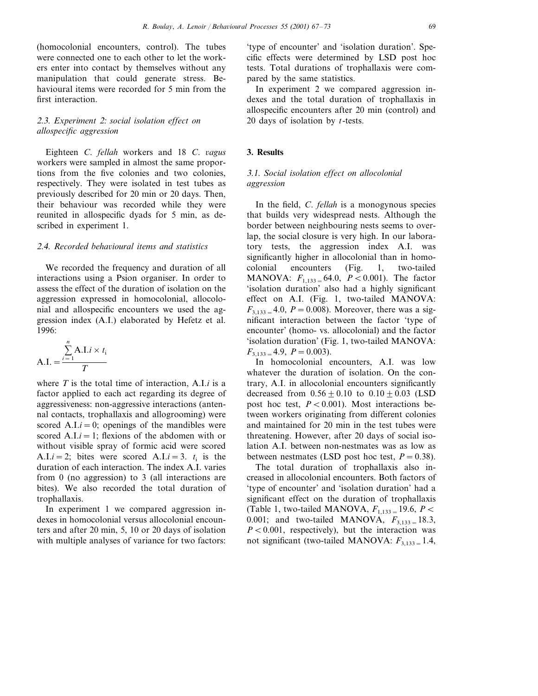(homocolonial encounters, control). The tubes were connected one to each other to let the workers enter into contact by themselves without any manipulation that could generate stress. Behavioural items were recorded for 5 min from the first interaction.

## <sup>2</sup>.3. *Experiment* 2: *social isolation effect on allospecific aggression*

Eighteen *C*. *fellah* workers and 18 *C*. *agus* workers were sampled in almost the same proportions from the five colonies and two colonies, respectively. They were isolated in test tubes as previously described for 20 min or 20 days. Then, their behaviour was recorded while they were reunited in allospecific dyads for 5 min, as described in experiment 1.

#### <sup>2</sup>.4. *Recorded behaioural items and statistics*

We recorded the frequency and duration of all interactions using a Psion organiser. In order to assess the effect of the duration of isolation on the aggression expressed in homocolonial, allocolonial and allospecific encounters we used the aggression index (A.I.) elaborated by Hefetz et al. 1996:

$$
A.I. = \frac{\sum_{i=1}^{n} A.I.i \times t_i}{T}
$$

where *T* is the total time of interaction, A.I.*i* is a factor applied to each act regarding its degree of aggressiveness: non-aggressive interactions (antennal contacts, trophallaxis and allogrooming) were scored A.I. $i = 0$ ; openings of the mandibles were scored A.I. $i = 1$ ; flexions of the abdomen with or without visible spray of formic acid were scored A.I.*i* = 2; bites were scored A.I.*i* = 3. *t*<sub>i</sub> is the duration of each interaction. The index A.I. varies from 0 (no aggression) to 3 (all interactions are bites). We also recorded the total duration of trophallaxis.

In experiment 1 we compared aggression indexes in homocolonial versus allocolonial encounters and after 20 min, 5, 10 or 20 days of isolation with multiple analyses of variance for two factors:

'type of encounter' and 'isolation duration'. Specific effects were determined by LSD post hoc tests. Total durations of trophallaxis were compared by the same statistics.

In experiment 2 we compared aggression indexes and the total duration of trophallaxis in allospecific encounters after 20 min (control) and 20 days of isolation by *t*-tests.

### **3. Results**

## 3.1. *Social isolation effect on allocolonial aggression*

In the field, *C*. *fellah* is a monogynous species that builds very widespread nests. Although the border between neighbouring nests seems to overlap, the social closure is very high. In our laboratory tests, the aggression index A.I. was significantly higher in allocolonial than in homocolonial encounters (Fig. 1, two-tailed MANOVA:  $F_{1,133} = 64.0, P < 0.001$ ). The factor 'isolation duration' also had a highly significant effect on A.I. (Fig. 1, two-tailed MANOVA:  $F_{3,133} = 4.0$ ,  $P = 0.008$ ). Moreover, there was a significant interaction between the factor 'type of encounter' (homo- vs. allocolonial) and the factor 'isolation duration' (Fig. 1, two-tailed MANOVA:  $F_{3,133} = 4.9$ ,  $P = 0.003$ ).

In homocolonial encounters, A.I. was low whatever the duration of isolation. On the contrary, A.I. in allocolonial encounters significantly decreased from  $0.56 \pm 0.10$  to  $0.10 \pm 0.03$  (LSD post hoc test,  $P < 0.001$ ). Most interactions between workers originating from different colonies and maintained for 20 min in the test tubes were threatening. However, after 20 days of social isolation A.I. between non-nestmates was as low as between nestmates (LSD post hoc test,  $P = 0.38$ ).

The total duration of trophallaxis also increased in allocolonial encounters. Both factors of 'type of encounter' and 'isolation duration' had a significant effect on the duration of trophallaxis  $(Table 1, two-tailed MANOVA, F<sub>1,133 =</sub> 19.6, P <$ 0.001; and two-tailed MANOVA,  $F_{3,133} = 18.3$ ,  $P < 0.001$ , respectively), but the interaction was not significant (two-tailed MANOVA:  $F_{3,133} = 1.4$ ,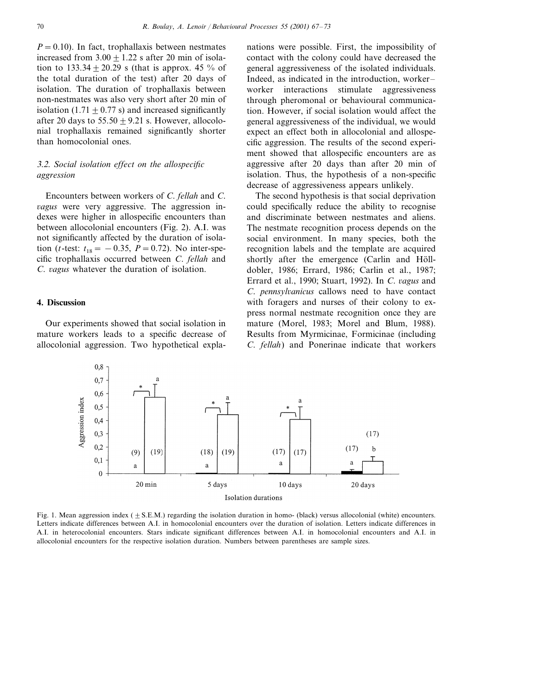$P=0.10$ ). In fact, trophallaxis between nestmates increased from  $3.00 \pm 1.22$  s after 20 min of isolation to  $133.34 + 20.29$  s (that is approx. 45 % of the total duration of the test) after 20 days of isolation. The duration of trophallaxis between non-nestmates was also very short after 20 min of isolation  $(1.71 + 0.77 s)$  and increased significantly after 20 days to  $55.50 + 9.21$  s. However, allocolonial trophallaxis remained significantly shorter than homocolonial ones.

## 3.2. *Social isolation effect on the allospecific aggression*

Encounters between workers of *C*. *fellah* and *C*. *agus* were very aggressive. The aggression indexes were higher in allospecific encounters than between allocolonial encounters (Fig. 2). A.I. was not significantly affected by the duration of isolation (*t*-test:  $t_{18} = -0.35$ ,  $P = 0.72$ ). No inter-specific trophallaxis occurred between *C*. *fellah* and *C*. *agus* whatever the duration of isolation.

#### **4. Discussion**

Our experiments showed that social isolation in mature workers leads to a specific decrease of allocolonial aggression. Two hypothetical explanations were possible. First, the impossibility of contact with the colony could have decreased the general aggressiveness of the isolated individuals. Indeed, as indicated in the introduction, worker– worker interactions stimulate aggressiveness through pheromonal or behavioural communication. However, if social isolation would affect the general aggressiveness of the individual, we would expect an effect both in allocolonial and allospecific aggression. The results of the second experiment showed that allospecific encounters are as aggressive after 20 days than after 20 min of isolation. Thus, the hypothesis of a non-specific decrease of aggressiveness appears unlikely.

The second hypothesis is that social deprivation could specifically reduce the ability to recognise and discriminate between nestmates and aliens. The nestmate recognition process depends on the social environment. In many species, both the recognition labels and the template are acquired shortly after the emergence (Carlin and Hölldobler, 1986; Errard, 1986; Carlin et al., 1987; Errard et al., 1990; Stuart, 1992). In *C*. *agus* and *C*. *pennsylanicus* callows need to have contact with foragers and nurses of their colony to express normal nestmate recognition once they are mature (Morel, 1983; Morel and Blum, 1988). Results from Myrmicinae, Formicinae (including *C*. *fellah*) and Ponerinae indicate that workers



Fig. 1. Mean aggression index ( $\pm$  S.E.M.) regarding the isolation duration in homo- (black) versus allocolonial (white) encounters. Letters indicate differences between A.I. in homocolonial encounters over the duration of isolation. Letters indicate differences in A.I. in heterocolonial encounters. Stars indicate significant differences between A.I. in homocolonial encounters and A.I. in allocolonial encounters for the respective isolation duration. Numbers between parentheses are sample sizes.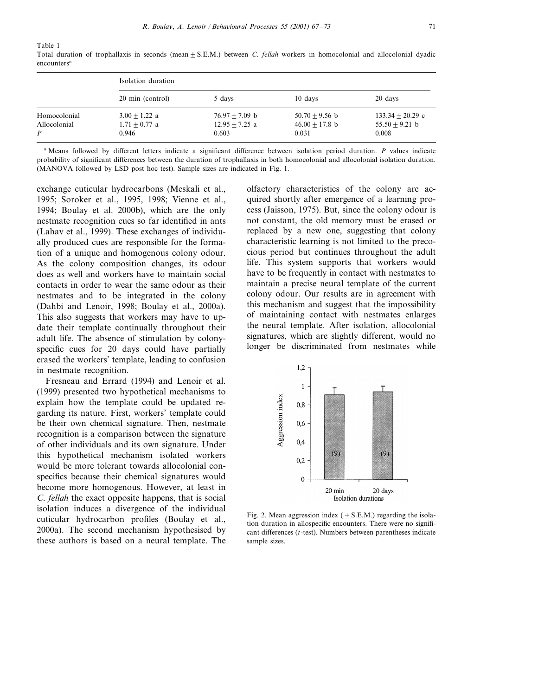Table 1

|              | Isolation duration |                  |                  |                    |
|--------------|--------------------|------------------|------------------|--------------------|
|              | 20 min (control)   | 5 days           | 10 days          | 20 days            |
| Homocolonial | $3.00 + 1.22$ a    | $76.97 + 7.09$ b | $50.70 + 9.56$ b | $133.34 + 20.29$ c |
| Allocolonial | $1.71 + 0.77$ a    | $12.95 + 7.25$ a | $46.00 + 17.8$ b | $55.50 + 9.21$ b   |
| P            | 0.946              | 0.603            | 0.031            | 0.008              |

Total duration of trophallaxis in seconds (mean  $\pm$  S.E.M.) between *C. fellah* workers in homocolonial and allocolonial dyadic encounters<sup>a</sup>

<sup>a</sup> Means followed by different letters indicate a significant difference between isolation period duration. *P* values indicate probability of significant differences between the duration of trophallaxis in both homocolonial and allocolonial isolation duration. (MANOVA followed by LSD post hoc test). Sample sizes are indicated in Fig. 1.

exchange cuticular hydrocarbons (Meskali et al., 1995; Soroker et al., 1995, 1998; Vienne et al., 1994; Boulay et al. 2000b), which are the only nestmate recognition cues so far identified in ants (Lahav et al., 1999). These exchanges of individually produced cues are responsible for the formation of a unique and homogenous colony odour. As the colony composition changes, its odour does as well and workers have to maintain social contacts in order to wear the same odour as their nestmates and to be integrated in the colony (Dahbi and Lenoir, 1998; Boulay et al., 2000a). This also suggests that workers may have to update their template continually throughout their adult life. The absence of stimulation by colonyspecific cues for 20 days could have partially erased the workers' template, leading to confusion in nestmate recognition.

Fresneau and Errard (1994) and Lenoir et al. (1999) presented two hypothetical mechanisms to explain how the template could be updated regarding its nature. First, workers' template could be their own chemical signature. Then, nestmate recognition is a comparison between the signature of other individuals and its own signature. Under this hypothetical mechanism isolated workers would be more tolerant towards allocolonial conspecifics because their chemical signatures would become more homogenous. However, at least in *C*. *fellah* the exact opposite happens, that is social isolation induces a divergence of the individual cuticular hydrocarbon profiles (Boulay et al., 2000a). The second mechanism hypothesised by these authors is based on a neural template. The olfactory characteristics of the colony are acquired shortly after emergence of a learning process (Jaisson, 1975). But, since the colony odour is not constant, the old memory must be erased or replaced by a new one, suggesting that colony characteristic learning is not limited to the precocious period but continues throughout the adult life. This system supports that workers would have to be frequently in contact with nestmates to maintain a precise neural template of the current colony odour. Our results are in agreement with this mechanism and suggest that the impossibility of maintaining contact with nestmates enlarges the neural template. After isolation, allocolonial signatures, which are slightly different, would no longer be discriminated from nestmates while



Fig. 2. Mean aggression index ( $\pm$  S.E.M.) regarding the isolation duration in allospecific encounters. There were no significant differences (*t*-test). Numbers between parentheses indicate sample sizes.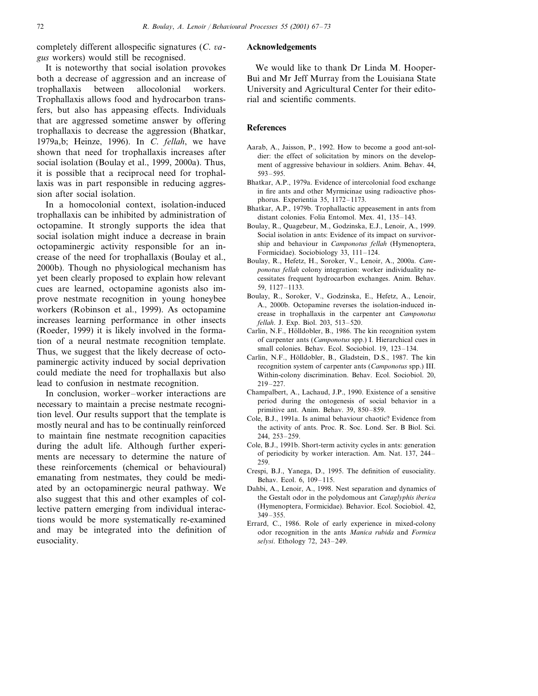completely different allospecific signatures (*C*. *agus* workers) would still be recognised.

It is noteworthy that social isolation provokes both a decrease of aggression and an increase of trophallaxis between allocolonial workers. Trophallaxis allows food and hydrocarbon transfers, but also has appeasing effects. Individuals that are aggressed sometime answer by offering trophallaxis to decrease the aggression (Bhatkar, 1979a,b; Heinze, 1996). In *C*. *fellah*, we have shown that need for trophallaxis increases after social isolation (Boulay et al., 1999, 2000a). Thus, it is possible that a reciprocal need for trophallaxis was in part responsible in reducing aggression after social isolation.

In a homocolonial context, isolation-induced trophallaxis can be inhibited by administration of octopamine. It strongly supports the idea that social isolation might induce a decrease in brain octopaminergic activity responsible for an increase of the need for trophallaxis (Boulay et al., 2000b). Though no physiological mechanism has yet been clearly proposed to explain how relevant cues are learned, octopamine agonists also improve nestmate recognition in young honeybee workers (Robinson et al., 1999). As octopamine increases learning performance in other insects (Roeder, 1999) it is likely involved in the formation of a neural nestmate recognition template. Thus, we suggest that the likely decrease of octopaminergic activity induced by social deprivation could mediate the need for trophallaxis but also lead to confusion in nestmate recognition.

In conclusion, worker–worker interactions are necessary to maintain a precise nestmate recognition level. Our results support that the template is mostly neural and has to be continually reinforced to maintain fine nestmate recognition capacities during the adult life. Although further experiments are necessary to determine the nature of these reinforcements (chemical or behavioural) emanating from nestmates, they could be mediated by an octopaminergic neural pathway. We also suggest that this and other examples of collective pattern emerging from individual interactions would be more systematically re-examined and may be integrated into the definition of eusociality.

#### **Acknowledgements**

We would like to thank Dr Linda M. Hooper-Buì and Mr Jeff Murray from the Louisiana State University and Agricultural Center for their editorial and scientific comments.

#### **References**

- Aarab, A., Jaisson, P., 1992. How to become a good ant-soldier: the effect of solicitation by minors on the development of aggressive behaviour in soldiers. Anim. Behav. 44, 593–595.
- Bhatkar, A.P., 1979a. Evidence of intercolonial food exchange in fire ants and other Myrmicinae using radioactive phosphorus. Experientia 35, 1172–1173.
- Bhatkar, A.P., 1979b. Trophallactic appeasement in ants from distant colonies. Folia Entomol. Mex. 41, 135–143.
- Boulay, R., Quagebeur, M., Godzinska, E.J., Lenoir, A., 1999. Social isolation in ants: Evidence of its impact on survivorship and behaviour in *Camponotus fellah* (Hymenoptera, Formicidae). Sociobiology 33, 111–124.
- Boulay, R., Hefetz, H., Soroker, V., Lenoir, A., 2000a. *Camponotus fellah* colony integration: worker individuality necessitates frequent hydrocarbon exchanges. Anim. Behav. 59, 1127–1133.
- Boulay, R., Soroker, V., Godzinska, E., Hefetz, A., Lenoir, A., 2000b. Octopamine reverses the isolation-induced increase in trophallaxis in the carpenter ant *Camponotus fellah*. J. Exp. Biol. 203, 513–520.
- Carlin, N.F., Hölldobler, B., 1986. The kin recognition system of carpenter ants (*Camponotus* spp.) I. Hierarchical cues in small colonies. Behav. Ecol. Sociobiol. 19, 123–134.
- Carlin, N.F., Hölldobler, B., Gladstein, D.S., 1987. The kin recognition system of carpenter ants (*Camponotus* spp.) III. Within-colony discrimination. Behav. Ecol. Sociobiol. 20, 219–227.
- Champalbert, A., Lachaud, J.P., 1990. Existence of a sensitive period during the ontogenesis of social behavior in a primitive ant. Anim. Behav. 39, 850–859.
- Cole, B.J., 1991a. Is animal behaviour chaotic? Evidence from the activity of ants. Proc. R. Soc. Lond. Ser. B Biol. Sci. 244, 253–259.
- Cole, B.J., 1991b. Short-term activity cycles in ants: generation of periodicity by worker interaction. Am. Nat. 137, 244– 259.
- Crespi, B.J., Yanega, D., 1995. The definition of eusociality. Behav. Ecol. 6, 109–115.
- Dahbi, A., Lenoir, A., 1998. Nest separation and dynamics of the Gestalt odor in the polydomous ant *Cataglyphis iberica* (Hymenoptera, Formicidae). Behavior. Ecol. Sociobiol. 42, 349–355.
- Errard, C., 1986. Role of early experience in mixed-colony odor recognition in the ants *Manica rubida* and *Formica selysi*. Ethology 72, 243–249.